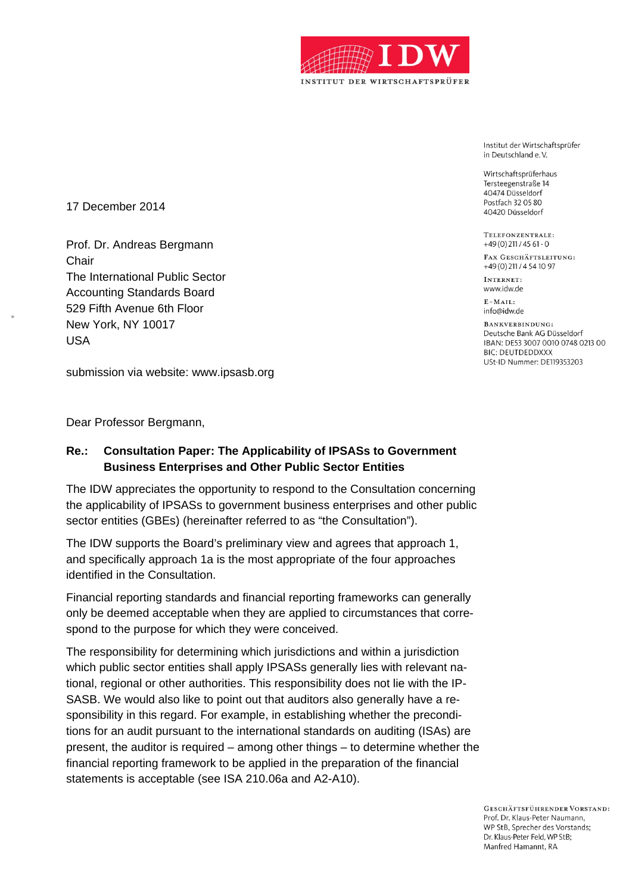

Institut der Wirtschaftsprüfer in Deutschland e.V.

Wirtschaftsprüferhaus Tersteegenstraße 14 40474 Düsseldorf Postfach 32 05 80 40420 Düsseldorf

TELEFONZENTRALE:  $+49(0)$  211 / 45 61 - 0

FAX GESCHÄFTSLEITUNG: +49(0)211/4541097

INTERNET. www.idw.de

 $E - MATL$ info@idw.de

BANKVERBINDUNG: Deutsche Bank AG Düsseldorf IBAN: DE53 3007 0010 0748 0213 00 **BIC: DEUTDEDDXXX** USt-ID Nummer: DE119353203

17 December 2014

Prof. Dr. Andreas Bergmann **Chair** The International Public Sector Accounting Standards Board 529 Fifth Avenue 6th Floor New York, NY 10017 USA

submission via website: www.ipsasb.org

Dear Professor Bergmann,

## **Re.: Consultation Paper: The Applicability of IPSASs to Government Business Enterprises and Other Public Sector Entities**

The IDW appreciates the opportunity to respond to the Consultation concerning the applicability of IPSASs to government business enterprises and other public sector entities (GBEs) (hereinafter referred to as "the Consultation").

The IDW supports the Board's preliminary view and agrees that approach 1, and specifically approach 1a is the most appropriate of the four approaches identified in the Consultation.

Financial reporting standards and financial reporting frameworks can generally only be deemed acceptable when they are applied to circumstances that correspond to the purpose for which they were conceived.

The responsibility for determining which jurisdictions and within a jurisdiction which public sector entities shall apply IPSASs generally lies with relevant national, regional or other authorities. This responsibility does not lie with the IP-SASB. We would also like to point out that auditors also generally have a responsibility in this regard. For example, in establishing whether the preconditions for an audit pursuant to the international standards on auditing (ISAs) are present, the auditor is required – among other things – to determine whether the financial reporting framework to be applied in the preparation of the financial statements is acceptable (see ISA 210.06a and A2-A10).

> GESCHÄFTSFÜHRENDER VORSTAND: Prof. Dr. Klaus-Peter Naumann. WP StB, Sprecher des Vorstands; Dr. Klaus-Peter Feld, WP StB; Manfred Hamannt, RA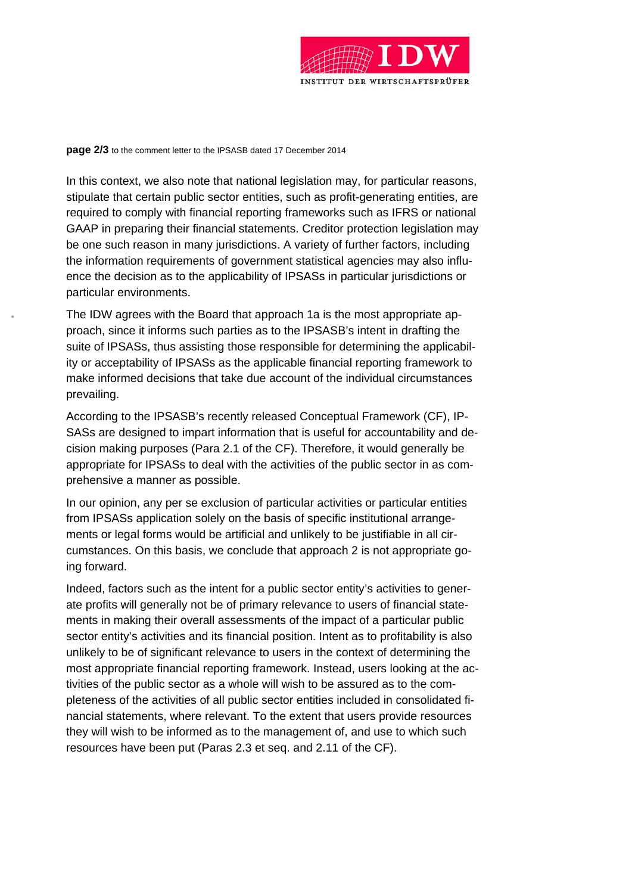

**page 2/3** to the comment letter to the IPSASB dated 17 December 2014

In this context, we also note that national legislation may, for particular reasons, stipulate that certain public sector entities, such as profit-generating entities, are required to comply with financial reporting frameworks such as IFRS or national GAAP in preparing their financial statements. Creditor protection legislation may be one such reason in many jurisdictions. A variety of further factors, including the information requirements of government statistical agencies may also influence the decision as to the applicability of IPSASs in particular jurisdictions or particular environments.

The IDW agrees with the Board that approach 1a is the most appropriate approach, since it informs such parties as to the IPSASB's intent in drafting the suite of IPSASs, thus assisting those responsible for determining the applicability or acceptability of IPSASs as the applicable financial reporting framework to make informed decisions that take due account of the individual circumstances prevailing.

According to the IPSASB's recently released Conceptual Framework (CF), IP-SASs are designed to impart information that is useful for accountability and decision making purposes (Para 2.1 of the CF). Therefore, it would generally be appropriate for IPSASs to deal with the activities of the public sector in as comprehensive a manner as possible.

In our opinion, any per se exclusion of particular activities or particular entities from IPSASs application solely on the basis of specific institutional arrangements or legal forms would be artificial and unlikely to be justifiable in all circumstances. On this basis, we conclude that approach 2 is not appropriate going forward.

Indeed, factors such as the intent for a public sector entity's activities to generate profits will generally not be of primary relevance to users of financial statements in making their overall assessments of the impact of a particular public sector entity's activities and its financial position. Intent as to profitability is also unlikely to be of significant relevance to users in the context of determining the most appropriate financial reporting framework. Instead, users looking at the activities of the public sector as a whole will wish to be assured as to the completeness of the activities of all public sector entities included in consolidated financial statements, where relevant. To the extent that users provide resources they will wish to be informed as to the management of, and use to which such resources have been put (Paras 2.3 et seq. and 2.11 of the CF).